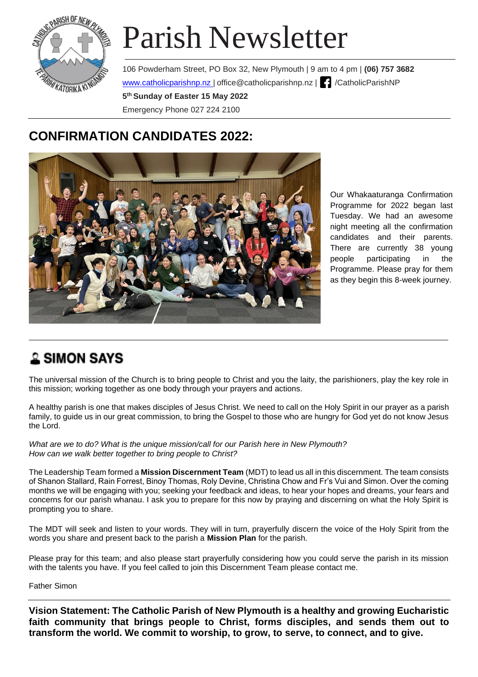

# Parish Newsletter

106 Powderham Street, PO Box 32, New Plymouth | 9 am to 4 pm | **(06) 757 3682** www.catholicparishnp.nz | [office@catholicparishnp.nz](mailto:office@catholicparishnp.nz) | | /CatholicParishNP **5 th Sunday of Easter 15 May 2022**  Emergency Phone 027 224 2100

### **CONFIRMATION CANDIDATES 2022:**



Our Whakaaturanga Confirmation Programme for 2022 began last Tuesday. We had an awesome night meeting all the confirmation candidates and their parents. There are currently 38 young people participating in the Programme. Please pray for them as they begin this 8-week journey.

### **& SIMON SAYS**

The universal mission of the Church is to bring people to Christ and you the laity, the parishioners, play the key role in this mission; working together as one body through your prayers and actions.

A healthy parish is one that makes disciples of Jesus Christ. We need to call on the Holy Spirit in our prayer as a parish family, to guide us in our great commission, to bring the Gospel to those who are hungry for God yet do not know Jesus the Lord.

*What are we to do? What is the unique mission/call for our Parish here in New Plymouth? How can we walk better together to bring people to Christ?*

The Leadership Team formed a **Mission Discernment Team** (MDT) to lead us all in this discernment. The team consists of Shanon Stallard, Rain Forrest, Binoy Thomas, Roly Devine, Christina Chow and Fr's Vui and Simon. Over the coming months we will be engaging with you; seeking your feedback and ideas, to hear your hopes and dreams, your fears and concerns for our parish whanau. I ask you to prepare for this now by praying and discerning on what the Holy Spirit is prompting you to share.

The MDT will seek and listen to your words. They will in turn, prayerfully discern the voice of the Holy Spirit from the words you share and present back to the parish a **Mission Plan** for the parish.

Please pray for this team; and also please start prayerfully considering how you could serve the parish in its mission with the talents you have. If you feel called to join this Discernment Team please contact me.

Father Simon

**Vision Statement: The Catholic Parish of New Plymouth is a healthy and growing Eucharistic faith community that brings people to Christ, forms disciples, and sends them out to transform the world. We commit to worship, to grow, to serve, to connect, and to give.**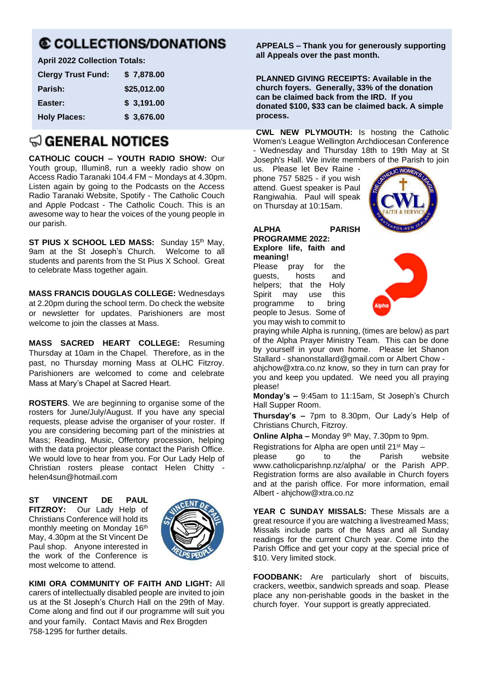# **© COLLECTIONS/DONATIONS**

**April 2022 Collection Totals:**

| <b>Clergy Trust Fund:</b> | \$7,878.00  |
|---------------------------|-------------|
| Parish:                   | \$25,012.00 |
| Easter:                   | \$3,191.00  |
| <b>Holy Places:</b>       | \$3,676.00  |

## $\textcircled{a}$  general notices

**CATHOLIC COUCH – YOUTH RADIO SHOW:** Our Youth group, Illumin8, run a weekly radio show on Access Radio Taranaki 104.4 FM ~ Mondays at 4.30pm. Listen again by going to the Podcasts on the Access Radio Taranaki Website, Spotify - The Catholic Couch and Apple Podcast - The Catholic Couch. This is an awesome way to hear the voices of the young people in our parish.

**ST PIUS X SCHOOL LED MASS:** Sunday 15th May, 9am at the St Joseph's Church. Welcome to all students and parents from the St Pius X School. Great to celebrate Mass together again.

**MASS FRANCIS DOUGLAS COLLEGE:** Wednesdays at 2.20pm during the school term. Do check the website or newsletter for updates. Parishioners are most welcome to join the classes at Mass.

**MASS SACRED HEART COLLEGE:** Resuming Thursday at 10am in the Chapel. Therefore, as in the past, no Thursday morning Mass at OLHC Fitzroy. Parishioners are welcomed to come and celebrate Mass at Mary's Chapel at Sacred Heart.

**ROSTERS**. We are beginning to organise some of the rosters for June/July/August. If you have any special requests, please advise the organiser of your roster. If you are considering becoming part of the ministries at Mass; Reading, Music, Offertory procession, helping with the data projector please contact the Parish Office. We would love to hear from you. For Our Lady Help of Christian rosters please contact Helen Chitty [helen4sun@hotmail.com](mailto:helen4sun@hotmail.com)

**ST VINCENT DE PAUL FITZROY:** Our Lady Help of Christians Conference will hold its monthly meeting on Monday 16th May, 4.30pm at the St Vincent De Paul shop. Anyone interested in the work of the Conference is most welcome to attend.



**KIMI ORA COMMUNITY OF FAITH AND LIGHT:** All carers of intellectually disabled people are invited to join us at the St Joseph's Church Hall on the 29th of May. Come along and find out if our programme will suit you and your family. Contact Mavis and Rex Brogden 758-1295 for further details.

**APPEALS – Thank you for generously supporting all Appeals over the past month.** 

**PLANNED GIVING RECEIPTS: Available in the church foyers. Generally, 33% of the donation can be claimed back from the IRD. If you donated \$100, \$33 can be claimed back. A simple process.**

**CWL NEW PLYMOUTH:** Is hosting the Catholic Women's League Wellington Archdiocesan Conference - Wednesday and Thursday 18th to 19th May at St Joseph's Hall. We invite members of the Parish to join

us. Please let Bev Raine phone 757 5825 - if you wish attend. Guest speaker is Paul Rangiwahia. Paul will speak on Thursday at 10:15am.

**ALPHA PARISH PROGRAMME 2022: Explore life, faith and meaning!**

Please pray for the guests, hosts and<br>helpers: that the Holv helpers; that the Holy<br>Spirit may use this Spirit may use programme to bring people to Jesus. Some of you may wish to commit to





praying while Alpha is running, (times are below) as part of the Alpha Prayer Ministry Team. This can be done by yourself in your own home. Please let Shanon Stallard - [shanonstallard@gmail.com](mailto:shanonstallard@gmail.com) or Albert Chow [ahjchow@xtra.co.nz](mailto:ahjchow@xtra.co.nz) know, so they in turn can pray for you and keep you updated. We need you all praying please!

**Monday's –** 9:45am to 11:15am, St Joseph's Church Hall Supper Room.

**Thursday's –** 7pm to 8.30pm, Our Lady's Help of Christians Church, Fitzroy.

**Online Alpha –** Monday 9th May, 7.30pm to 9pm.

Registrations for Alpha are open until 21<sup>st</sup> May  $-$ 

please go to the Parish website www.catholicparishnp.nz/alpha/ or the Parish APP. Registration forms are also available in Church foyers and at the parish office. For more information, email Albert - [ahjchow@xtra.co.nz](mailto:ahjchow@xtra.co.nz) 

**YEAR C SUNDAY MISSALS:** These Missals are a great resource if you are watching a livestreamed Mass; Missals include parts of the Mass and all Sunday readings for the current Church year. Come into the Parish Office and get your copy at the special price of \$10. Very limited stock.

**FOODBANK:** Are particularly short of biscuits, crackers, weetbix, sandwich spreads and soap. Please place any non-perishable goods in the basket in the church foyer. Your support is greatly appreciated.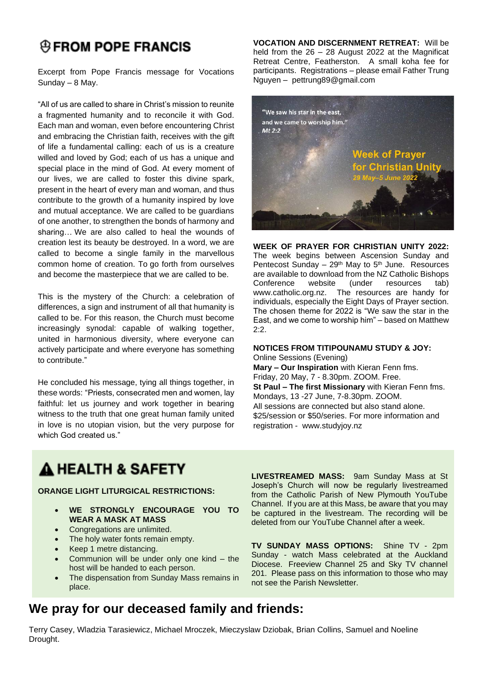# **@FROM POPE FRANCIS**

Excerpt from Pope Francis message for Vocations Sunday – 8 May.

"All of us are called to share in Christ's mission to reunite a fragmented humanity and to reconcile it with God. Each man and woman, even before encountering Christ and embracing the Christian faith, receives with the gift of life a fundamental calling: each of us is a creature willed and loved by God; each of us has a unique and special place in the mind of God. At every moment of our lives, we are called to foster this divine spark, present in the heart of every man and woman, and thus contribute to the growth of a humanity inspired by love and mutual acceptance. We are called to be guardians of one another, to strengthen the bonds of harmony and sharing… We are also called to heal the wounds of creation lest its beauty be destroyed. In a word, we are called to become a single family in the marvellous common home of creation. To go forth from ourselves and become the masterpiece that we are called to be.

This is the mystery of the Church: a celebration of differences, a sign and instrument of all that humanity is called to be. For this reason, the Church must become increasingly synodal: capable of walking together, united in harmonious diversity, where everyone can actively participate and where everyone has something to contribute."

He concluded his message, tying all things together, in these words: "Priests, consecrated men and women, lay faithful: let us journey and work together in bearing witness to the truth that one great human family united in love is no utopian vision, but the very purpose for which God created us."

**VOCATION AND DISCERNMENT RETREAT:** Will be held from the 26 – 28 August 2022 at the Magnificat Retreat Centre, Featherston. A small koha fee for participants. Registrations – please email Father Trung Nguyen – [pettrung89@gmail.com](mailto:pettrung89@gmail.com)



#### **WEEK OF PRAYER FOR CHRISTIAN UNITY 2022:**

The week begins between Ascension Sunday and Pentecost Sunday – 29th May to 5th June.Resources are available to download from the NZ Catholic Bishops Conference website (under resources tab) www.catholic.org.nz. The resources are handy for individuals, especially the Eight Days of Prayer section. The chosen theme for 2022 is "We saw the star in the East, and we come to worship him" – based on Matthew 2:2.

#### **NOTICES FROM TITIPOUNAMU STUDY & JOY:**

Online Sessions (Evening) **Mary – Our Inspiration** with Kieran Fenn fms. Friday, 20 May, 7 - 8.30pm. ZOOM. Free. **St Paul – The first Missionary** with Kieran Fenn fms. Mondays, 13 -27 June, 7-8.30pm. ZOOM. All sessions are connected but also stand alone. \$25/session or \$50/series. For more information and registration - [www.studyjoy.nz](http://www.studyjoy.nz/)

# A HEALTH & SAFETY

**ORANGE LIGHT LITURGICAL RESTRICTIONS:**

- **WE STRONGLY ENCOURAGE YOU TO WEAR A MASK AT MASS**
- Congregations are unlimited.
- The holy water fonts remain empty.
- Keep 1 metre distancing.
- Communion will be under only one kind  $-$  the host will be handed to each person.
- The dispensation from Sunday Mass remains in place.

**LIVESTREAMED MASS:** 9am Sunday Mass at St Joseph's Church will now be regularly livestreamed from the Catholic Parish of New Plymouth YouTube Channel. If you are at this Mass, be aware that you may be captured in the livestream. The recording will be deleted from our YouTube Channel after a week.

**TV SUNDAY MASS OPTIONS:** Shine TV - 2pm Sunday - watch Mass celebrated at the Auckland Diocese. Freeview Channel 25 and Sky TV channel 201.Please pass on this information to those who may not see the Parish Newsletter.

### **We pray for our deceased family and friends:**

Terry Casey, Wladzia Tarasiewicz, Michael Mroczek, Mieczyslaw Dziobak, Brian Collins, Samuel and Noeline Drought.